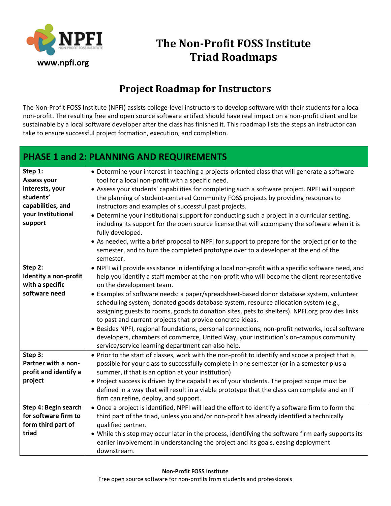

## **The Non-Profit FOSS Institute Triad Roadmaps**

## **Project Roadmap for Instructors**

The Non-Profit FOSS Institute (NPFI) assists college-level instructors to develop software with their students for a local non-profit. The resulting free and open source software artifact should have real impact on a non-profit client and be sustainable by a local software developer after the class has finished it. This roadmap lists the steps an instructor can take to ensure successful project formation, execution, and completion.

## **PHASE 1 and 2: PLANNING AND REQUIREMENTS**

| Step 1:               | • Determine your interest in teaching a projects-oriented class that will generate a software       |
|-----------------------|-----------------------------------------------------------------------------------------------------|
| <b>Assess your</b>    | tool for a local non-profit with a specific need.                                                   |
| interests, your       | • Assess your students' capabilities for completing such a software project. NPFI will support      |
| students'             | the planning of student-centered Community FOSS projects by providing resources to                  |
| capabilities, and     | instructors and examples of successful past projects.                                               |
| your Institutional    | • Determine your institutional support for conducting such a project in a curricular setting,       |
| support               | including its support for the open source license that will accompany the software when it is       |
|                       | fully developed.                                                                                    |
|                       | • As needed, write a brief proposal to NPFI for support to prepare for the project prior to the     |
|                       | semester, and to turn the completed prototype over to a developer at the end of the                 |
|                       | semester.                                                                                           |
| Step 2:               | . NPFI will provide assistance in identifying a local non-profit with a specific software need, and |
| Identity a non-profit | help you identify a staff member at the non-profit who will become the client representative        |
| with a specific       | on the development team.                                                                            |
| software need         | • Examples of software needs: a paper/spreadsheet-based donor database system, volunteer            |
|                       | scheduling system, donated goods database system, resource allocation system (e.g.,                 |
|                       | assigning guests to rooms, goods to donation sites, pets to shelters). NPFI org provides links      |
|                       | to past and current projects that provide concrete ideas.                                           |
|                       | • Besides NPFI, regional foundations, personal connections, non-profit networks, local software     |
|                       | developers, chambers of commerce, United Way, your institution's on-campus community                |
|                       | service/service learning department can also help.                                                  |
| Step 3:               | • Prior to the start of classes, work with the non-profit to identify and scope a project that is   |
| Partner with a non-   | possible for your class to successfully complete in one semester (or in a semester plus a           |
| profit and identify a | summer, if that is an option at your institution)                                                   |
| project               | • Project success is driven by the capabilities of your students. The project scope must be         |
|                       | defined in a way that will result in a viable prototype that the class can complete and an IT       |
|                       | firm can refine, deploy, and support.                                                               |
| Step 4: Begin search  | • Once a project is identified, NPFI will lead the effort to identify a software firm to form the   |
| for software firm to  | third part of the triad, unless you and/or non-profit has already identified a technically          |
| form third part of    | qualified partner.                                                                                  |
| triad                 | . While this step may occur later in the process, identifying the software firm early supports its  |
|                       | earlier involvement in understanding the project and its goals, easing deployment                   |
|                       | downstream.                                                                                         |